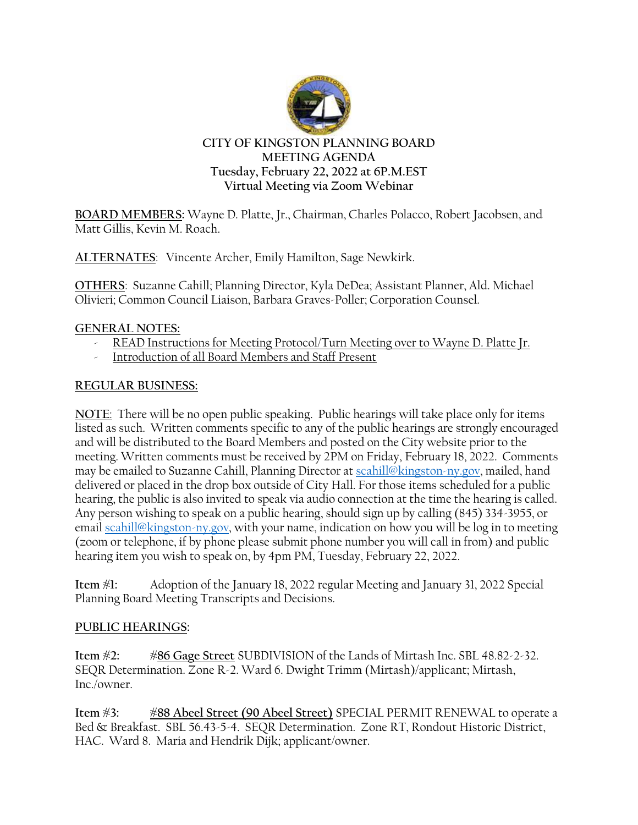

# **Tuesday, February 22, 2022 at 6P.M.EST Virtual Meeting via Zoom Webinar**

**BOARD MEMBERS:** Wayne D. Platte, Jr., Chairman, Charles Polacco, Robert Jacobsen, and Matt Gillis, Kevin M. Roach.

**ALTERNATES**: Vincente Archer, Emily Hamilton, Sage Newkirk.

**OTHERS**: Suzanne Cahill; Planning Director, Kyla DeDea; Assistant Planner, Ald. Michael Olivieri; Common Council Liaison, Barbara Graves-Poller; Corporation Counsel.

## **GENERAL NOTES:**

- READ Instructions for Meeting Protocol/Turn Meeting over to Wayne D. Platte Jr.
- Introduction of all Board Members and Staff Present

# **REGULAR BUSINESS:**

**NOTE**: There will be no open public speaking. Public hearings will take place only for items listed as such. Written comments specific to any of the public hearings are strongly encouraged and will be distributed to the Board Members and posted on the City website prior to the meeting. Written comments must be received by 2PM on Friday, February 18, 2022. Comments may be emailed to Suzanne Cahill, Planning Director at [scahill@kingston-ny.gov,](mailto:scahill@kingston-ny.gov) mailed, hand delivered or placed in the drop box outside of City Hall. For those items scheduled for a public hearing, the public is also invited to speak via audio connection at the time the hearing is called. Any person wishing to speak on a public hearing, should sign up by calling (845) 334-3955, or email [scahill@kingston-ny.gov,](mailto:scahill@kingston-ny.gov) with your name, indication on how you will be log in to meeting (zoom or telephone, if by phone please submit phone number you will call in from) and public hearing item you wish to speak on, by 4pm PM, Tuesday, February 22, 2022.

**Item #1:** Adoption of the January 18, 2022 regular Meeting and January 31, 2022 Special Planning Board Meeting Transcripts and Decisions.

## **PUBLIC HEARINGS:**

**Item #2: #86 Gage Street** SUBDIVISION of the Lands of Mirtash Inc. SBL 48.82-2-32. SEQR Determination. Zone R-2. Ward 6. Dwight Trimm (Mirtash)/applicant; Mirtash, Inc./owner.

**Item #3: #88 Abeel Street (90 Abeel Street)** SPECIAL PERMIT RENEWAL to operate a Bed & Breakfast. SBL 56.43-5-4. SEQR Determination. Zone RT, Rondout Historic District, HAC. Ward 8. Maria and Hendrik Dijk; applicant/owner.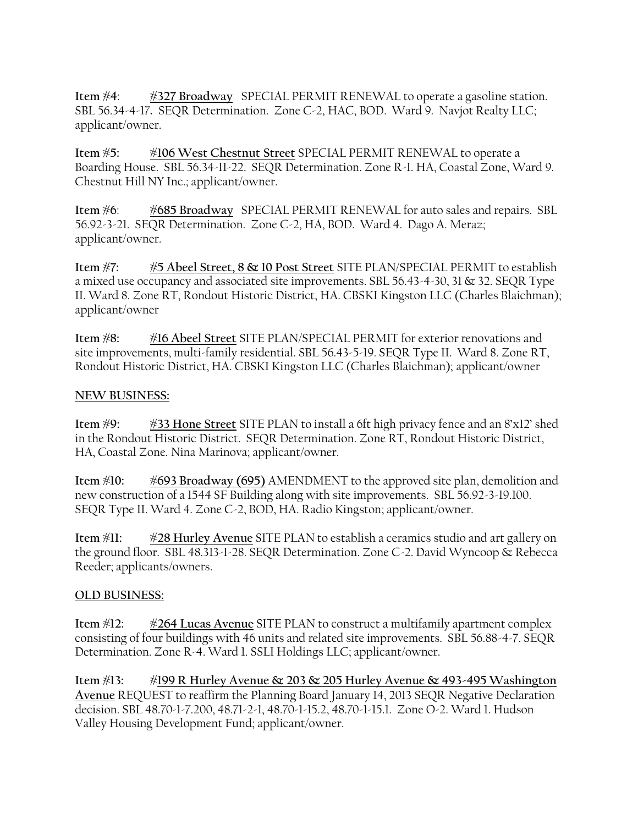**Item #4**: **#327 Broadway** SPECIAL PERMIT RENEWAL to operate a gasoline station. SBL 56.34-4-17**.** SEQR Determination. Zone C-2, HAC, BOD. Ward 9. Navjot Realty LLC; applicant/owner.

**Item #5: #106 West Chestnut Street** SPECIAL PERMIT RENEWAL to operate a Boarding House. SBL 56.34-11-22. SEQR Determination. Zone R-1. HA, Coastal Zone, Ward 9. Chestnut Hill NY Inc.; applicant/owner.

**Item #6**: **#685 Broadway** SPECIAL PERMIT RENEWAL for auto sales and repairs. SBL 56.92-3-21. SEQR Determination. Zone C-2, HA, BOD. Ward 4. Dago A. Meraz; applicant/owner.

**Item #7: #5 Abeel Street, 8 & 10 Post Street** SITE PLAN/SPECIAL PERMIT to establish a mixed use occupancy and associated site improvements. SBL 56.43-4-30, 31 & 32. SEQR Type II. Ward 8. Zone RT, Rondout Historic District, HA. CBSKI Kingston LLC (Charles Blaichman); applicant/owner

**Item #8: #16 Abeel Street** SITE PLAN/SPECIAL PERMIT for exterior renovations and site improvements, multi-family residential. SBL 56.43-5-19. SEQR Type II. Ward 8. Zone RT, Rondout Historic District, HA. CBSKI Kingston LLC (Charles Blaichman); applicant/owner

#### **NEW BUSINESS:**

**Item #9: #33 Hone Street** SITE PLAN to install a 6ft high privacy fence and an 8'x12' shed in the Rondout Historic District. SEQR Determination. Zone RT, Rondout Historic District, HA, Coastal Zone. Nina Marinova; applicant/owner.

**Item #10: #693 Broadway (695)** AMENDMENT to the approved site plan, demolition and new construction of a 1544 SF Building along with site improvements. SBL 56.92-3-19.100. SEQR Type II. Ward 4. Zone C-2, BOD, HA. Radio Kingston; applicant/owner.

**Item #11: #28 Hurley Avenue** SITE PLAN to establish a ceramics studio and art gallery on the ground floor. SBL 48.313-1-28. SEQR Determination. Zone C-2. David Wyncoop & Rebecca Reeder; applicants/owners.

#### **OLD BUSINESS:**

**Item #12: #264 Lucas Avenue** SITE PLAN to construct a multifamily apartment complex consisting of four buildings with 46 units and related site improvements. SBL 56.88-4-7. SEQR Determination. Zone R-4. Ward 1. SSLI Holdings LLC; applicant/owner.

**Item #13: #199 R Hurley Avenue & 203 & 205 Hurley Avenue & 493-495 Washington Avenue** REQUEST to reaffirm the Planning Board January 14, 2013 SEQR Negative Declaration decision. SBL 48.70-1-7.200, 48.71-2-1, 48.70-1-15.2, 48.70-1-15.1. Zone O-2. Ward 1. Hudson Valley Housing Development Fund; applicant/owner.